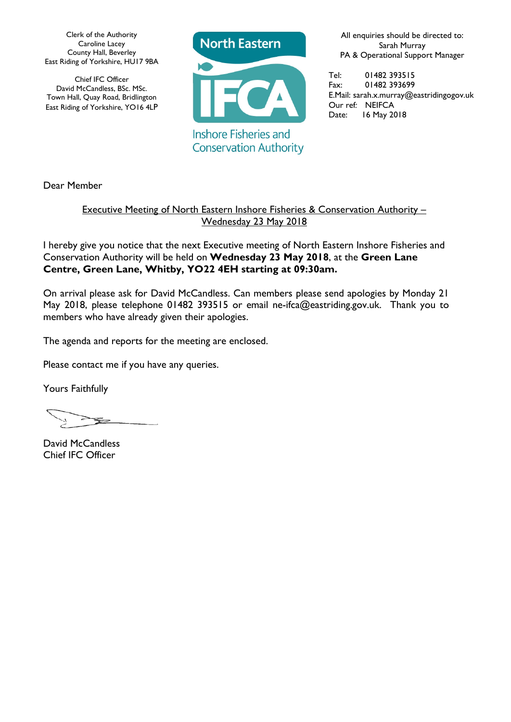Clerk of the Authority Caroline Lacey County Hall, Beverley East Riding of Yorkshire, HU17 9BA

Chief IFC Officer David McCandless, BSc. MSc. Town Hall, Quay Road, Bridlington East Riding of Yorkshire, YO16 4LP



**Conservation Authority** 

All enquiries should be directed to: Sarah Murray PA & Operational Support Manager

Tel: 01482 393515 Fax: 01482 393699 E.Mail: sarah.x.murray@eastridingogov.uk Our ref*:* NEIFCA Date: 16 May 2018

Dear Member

### Executive Meeting of North Eastern Inshore Fisheries & Conservation Authority – Wednesday 23 May 2018

I hereby give you notice that the next Executive meeting of North Eastern Inshore Fisheries and Conservation Authority will be held on **Wednesday 23 May 2018**, at the **Green Lane Centre, Green Lane, Whitby, YO22 4EH starting at 09:30am.** 

On arrival please ask for David McCandless. Can members please send apologies by Monday 21 May 2018, please telephone 01482 393515 or email [ne-ifca@eastriding.gov.uk.](mailto:ne-ifca@eastriding.gov.uk) Thank you to members who have already given their apologies.

The agenda and reports for the meeting are enclosed.

Please contact me if you have any queries.

Yours Faithfully

David McCandless Chief IFC Officer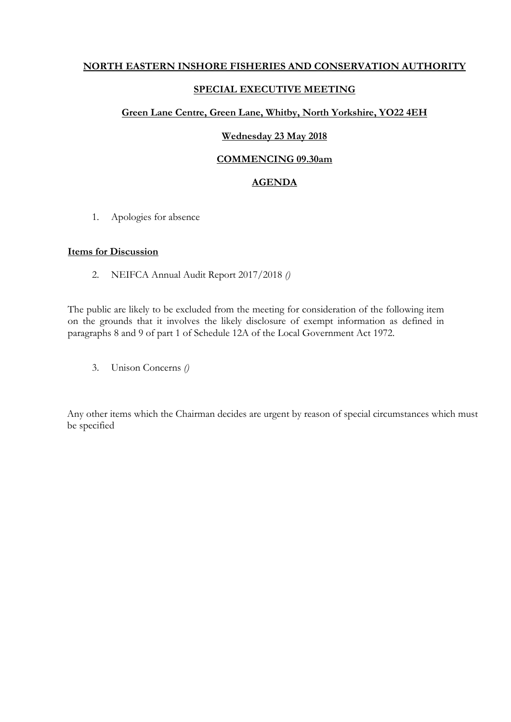### **NORTH EASTERN INSHORE FISHERIES AND CONSERVATION AUTHORITY**

### **SPECIAL EXECUTIVE MEETING**

### **Green Lane Centre, Green Lane, Whitby, North Yorkshire, YO22 4EH**

### **Wednesday 23 May 2018**

### **COMMENCING 09.30am**

### **AGENDA**

1. Apologies for absence

### **Items for Discussion**

2. NEIFCA Annual Audit Report 2017/2018 *()*

The public are likely to be excluded from the meeting for consideration of the following item on the grounds that it involves the likely disclosure of exempt information as defined in paragraphs 8 and 9 of part 1 of Schedule 12A of the Local Government Act 1972.

3. Unison Concerns *()*

Any other items which the Chairman decides are urgent by reason of special circumstances which must be specified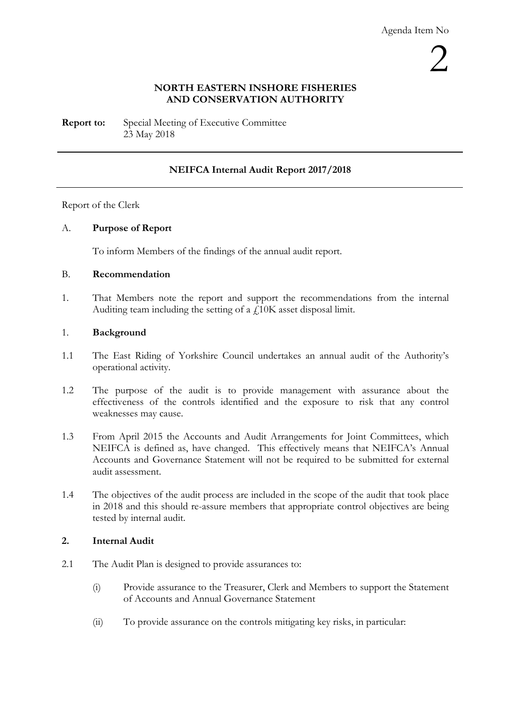### **NORTH EASTERN INSHORE FISHERIES AND CONSERVATION AUTHORITY**

**Report to:** Special Meeting of Executive Committee 23 May 2018

### **NEIFCA Internal Audit Report 2017/2018**

### Report of the Clerk

### A. **Purpose of Report**

To inform Members of the findings of the annual audit report.

### B. **Recommendation**

1. That Members note the report and support the recommendations from the internal Auditing team including the setting of a  $f_{\perp}10K$  asset disposal limit.

### 1. **Background**

- 1.1 The East Riding of Yorkshire Council undertakes an annual audit of the Authority's operational activity.
- 1.2 The purpose of the audit is to provide management with assurance about the effectiveness of the controls identified and the exposure to risk that any control weaknesses may cause.
- 1.3 From April 2015 the Accounts and Audit Arrangements for Joint Committees, which NEIFCA is defined as, have changed. This effectively means that NEIFCA's Annual Accounts and Governance Statement will not be required to be submitted for external audit assessment.
- 1.4 The objectives of the audit process are included in the scope of the audit that took place in 2018 and this should re-assure members that appropriate control objectives are being tested by internal audit.

### **2. Internal Audit**

- 2.1 The Audit Plan is designed to provide assurances to:
	- (i) Provide assurance to the Treasurer, Clerk and Members to support the Statement of Accounts and Annual Governance Statement
	- (ii) To provide assurance on the controls mitigating key risks, in particular: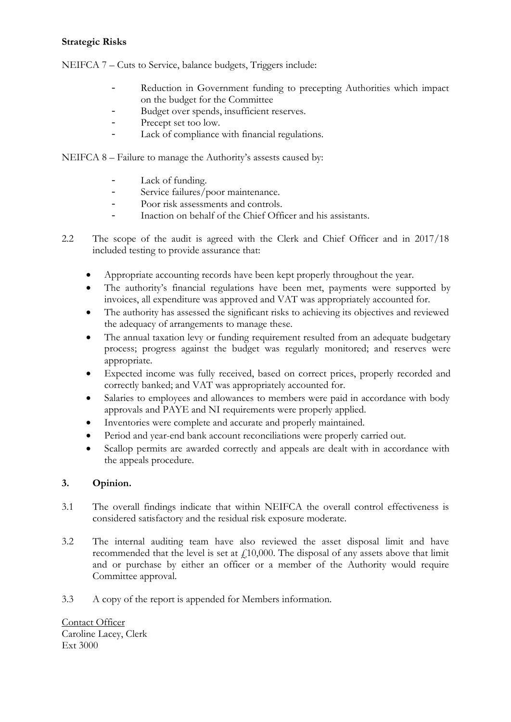### **Strategic Risks**

NEIFCA 7 – Cuts to Service, balance budgets, Triggers include:

- Reduction in Government funding to precepting Authorities which impact on the budget for the Committee
- Budget over spends, insufficient reserves.
- Precept set too low.
- Lack of compliance with financial regulations.

NEIFCA 8 – Failure to manage the Authority's assests caused by:

- Lack of funding.<br>- Service failures /r
- Service failures/poor maintenance.
- Poor risk assessments and controls.<br>- Inaction on behalf of the Chief Office
- Inaction on behalf of the Chief Officer and his assistants.
- 2.2 The scope of the audit is agreed with the Clerk and Chief Officer and in 2017/18 included testing to provide assurance that:
	- Appropriate accounting records have been kept properly throughout the year.
	- The authority's financial regulations have been met, payments were supported by invoices, all expenditure was approved and VAT was appropriately accounted for.
	- The authority has assessed the significant risks to achieving its objectives and reviewed the adequacy of arrangements to manage these.
	- The annual taxation levy or funding requirement resulted from an adequate budgetary process; progress against the budget was regularly monitored; and reserves were appropriate.
	- Expected income was fully received, based on correct prices, properly recorded and correctly banked; and VAT was appropriately accounted for.
	- Salaries to employees and allowances to members were paid in accordance with body approvals and PAYE and NI requirements were properly applied.
	- Inventories were complete and accurate and properly maintained.
	- Period and year-end bank account reconciliations were properly carried out.
	- Scallop permits are awarded correctly and appeals are dealt with in accordance with the appeals procedure.

### **3. Opinion.**

- 3.1 The overall findings indicate that within NEIFCA the overall control effectiveness is considered satisfactory and the residual risk exposure moderate.
- 3.2 The internal auditing team have also reviewed the asset disposal limit and have recommended that the level is set at  $f<sub>10</sub>000$ . The disposal of any assets above that limit and or purchase by either an officer or a member of the Authority would require Committee approval.
- 3.3 A copy of the report is appended for Members information.

Contact Officer Caroline Lacey, Clerk Ext 3000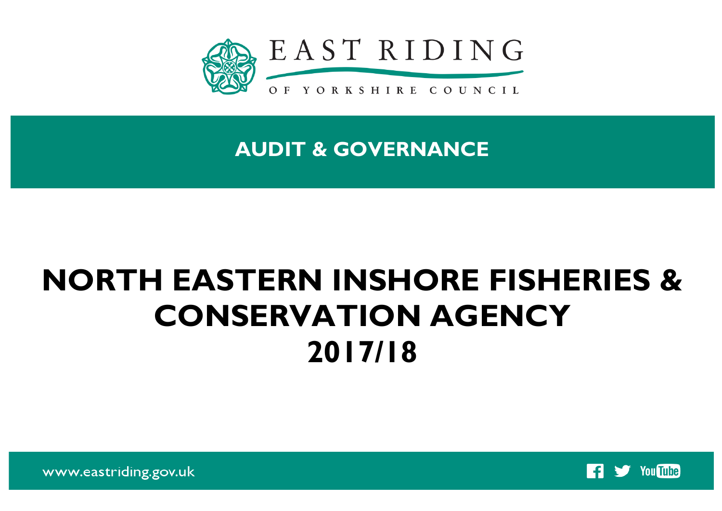

**AUDIT & GOVERNANCE**

# **NORTH EASTERN INSHORE FISHERIES & CONSERVATION AGENCY 2017/18**



www.eastriding.gov.uk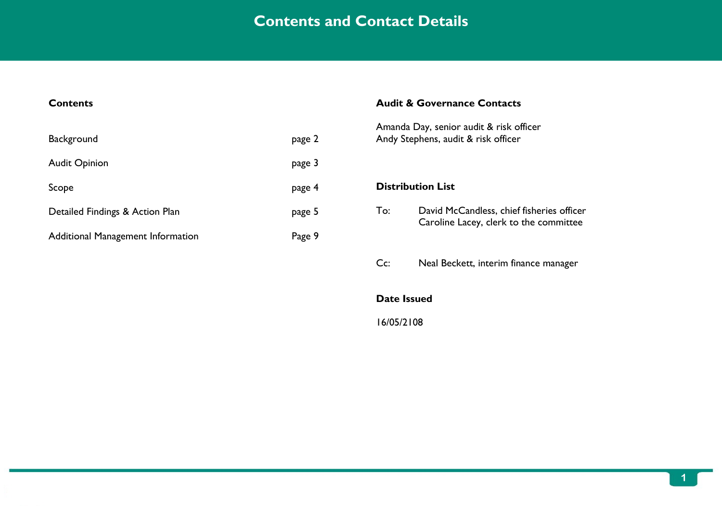## **Contents and Contact Details**

| <b>Contents</b>                          |        |     | <b>Audit &amp; Governance Contacts</b>                                              |
|------------------------------------------|--------|-----|-------------------------------------------------------------------------------------|
| Background                               | page 2 |     | Amanda Day, senior audit & risk officer<br>Andy Stephens, audit & risk officer      |
| <b>Audit Opinion</b>                     | page 3 |     |                                                                                     |
| Scope                                    | page 4 |     | <b>Distribution List</b>                                                            |
| Detailed Findings & Action Plan          | page 5 | To: | David McCandless, chief fisheries officer<br>Caroline Lacey, clerk to the committee |
| <b>Additional Management Information</b> | Page 9 |     |                                                                                     |
|                                          |        | Cc: | Neal Beckett, interim finance manager                                               |

**Date Issued**

16/05/2108

**EAST RIDING OF YORKSHIRE COUNCIL – AUDIT & GOVERNANCE**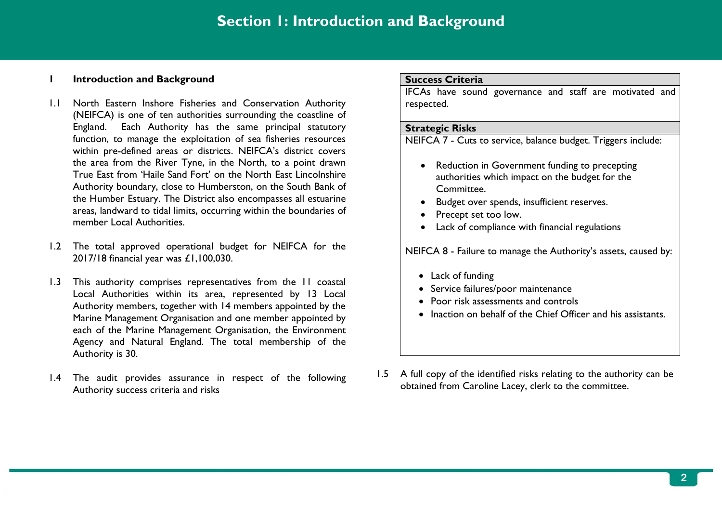### **1 Introduction and Background**

- 1.1 North Eastern Inshore Fisheries and Conservation Authority (NEIFCA) is one of ten authorities surrounding the coastline of England. Each Authority has the same principal statutory function, to manage the exploitation of sea fisheries resources within pre-defined areas or districts. NEIFCA's district covers the area from the River Tyne, in the North, to a point drawn True East from 'Haile Sand Fort' on the North East Lincolnshire Authority boundary, close to Humberston, on the South Bank of the Humber Estuary. The District also encompasses all estuarine areas, landward to tidal limits, occurring within the boundaries of member Local Authorities.
- 1.2 The total approved operational budget for NEIFCA for the 2017/18 financial year was £1,100,030.
- 1.3 This authority comprises representatives from the 11 coastal Local Authorities within its area, represented by 13 Local Authority members, together with 14 members appointed by the Marine Management Organisation and one member appointed by each of the Marine Management Organisation, the Environment Agency and Natural England. The total membership of the Authority is 30.
- 1.4 The audit provides assurance in respect of the following Authority success criteria and risks

### **Success Criteria**

IFCAs have sound governance and staff are motivated and respected.

### **Strategic Risks**

NEIFCA 7 - Cuts to service, balance budget. Triggers include:

- Reduction in Government funding to precepting authorities which impact on the budget for the Committee.
- Budget over spends, insufficient reserves.
- Precept set too low.
- Lack of compliance with financial regulations

NEIFCA 8 - Failure to manage the Authority's assets, caused by:

- Lack of funding
- Service failures/poor maintenance
- Poor risk assessments and controls
- Inaction on behalf of the Chief Officer and his assistants.
- 1.5 A full copy of the identified risks relating to the authority can be obtained from Caroline Lacey, clerk to the committee.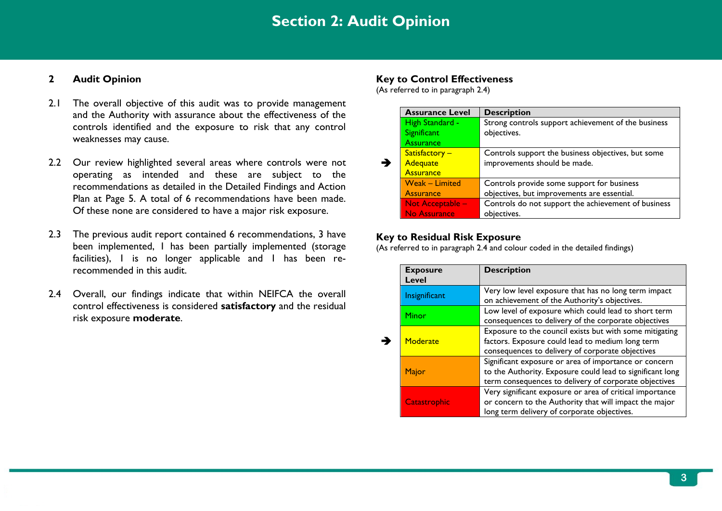## **Section 2: Audit Opinion**

### **2 Audit Opinion**

- 2.1 The overall objective of this audit was to provide management and the Authority with assurance about the effectiveness of the controls identified and the exposure to risk that any control weaknesses may cause.
- 2.2 Our review highlighted several areas where controls were not operating as intended and these are subject to the recommendations as detailed in the Detailed Findings and Action Plan at Page 5. A total of 6 recommendations have been made. Of these none are considered to have a major risk exposure.
- 2.3 The previous audit report contained 6 recommendations, 3 have been implemented, 1 has been partially implemented (storage facilities), I is no longer applicable and I has been rerecommended in this audit.
- 2.4 Overall, our findings indicate that within NEIFCA the overall control effectiveness is considered **satisfactory** and the residual risk exposure **moderate**.

### **Key to Control Effectiveness**

(As referred to in paragraph 2.4)

| <b>Assurance Level</b> | <b>Description</b>                                  |
|------------------------|-----------------------------------------------------|
| High Standard -        | Strong controls support achievement of the business |
| Significant            | objectives.                                         |
| Assurance              |                                                     |
| Satisfactory -         | Controls support the business objectives, but some  |
| <b>Adequate</b>        | improvements should be made.                        |
| <b>Assurance</b>       |                                                     |
| <b>Weak - Limited</b>  | Controls provide some support for business          |
| <b>Assurance</b>       | objectives, but improvements are essential.         |
| Not Acceptable -       | Controls do not support the achievement of business |
| No Assurance           | objectives.                                         |

### **Key to Residual Risk Exposure**

(As referred to in paragraph 2.4 and colour coded in the detailed findings)

| <b>Exposure</b><br><b>Level</b> | <b>Description</b>                                                                                                                                                          |
|---------------------------------|-----------------------------------------------------------------------------------------------------------------------------------------------------------------------------|
| Insignificant                   | Very low level exposure that has no long term impact<br>on achievement of the Authority's objectives.                                                                       |
| Minor                           | Low level of exposure which could lead to short term<br>consequences to delivery of the corporate objectives                                                                |
| Moderate                        | Exposure to the council exists but with some mitigating<br>factors. Exposure could lead to medium long term<br>consequences to delivery of corporate objectives             |
| Major                           | Significant exposure or area of importance or concern<br>to the Authority. Exposure could lead to significant long<br>term consequences to delivery of corporate objectives |
| Catastrophic                    | Very significant exposure or area of critical importance<br>or concern to the Authority that will impact the major<br>long term delivery of corporate objectives.           |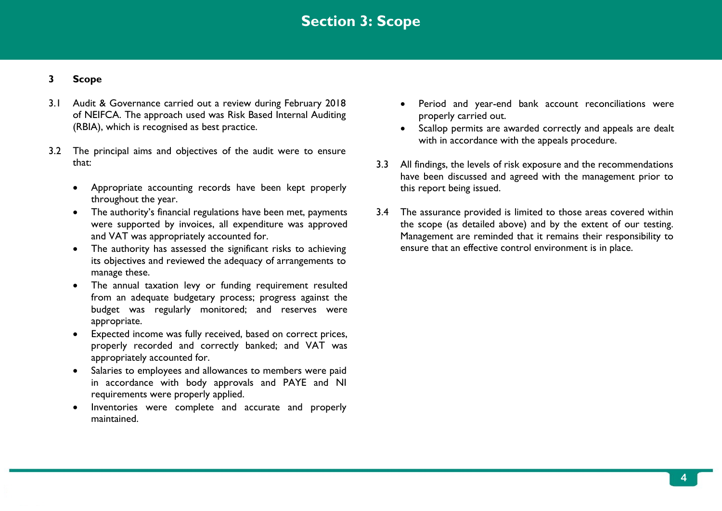## **Section 3: Scope**

### **3 Scope**

- 3.1 Audit & Governance carried out a review during February 2018 of NEIFCA. The approach used was Risk Based Internal Auditing (RBIA), which is recognised as best practice.
- 3.2 The principal aims and objectives of the audit were to ensure that:
	- Appropriate accounting records have been kept properly throughout the year.
	- The authority's financial regulations have been met, payments were supported by invoices, all expenditure was approved and VAT was appropriately accounted for.
	- The authority has assessed the significant risks to achieving its objectives and reviewed the adequacy of arrangements to manage these.
	- The annual taxation levy or funding requirement resulted from an adequate budgetary process; progress against the budget was regularly monitored; and reserves were appropriate.
	- Expected income was fully received, based on correct prices, properly recorded and correctly banked; and VAT was appropriately accounted for.
	- Salaries to employees and allowances to members were paid in accordance with body approvals and PAYE and NI requirements were properly applied.
	- Inventories were complete and accurate and properly maintained.
- Period and year-end bank account reconciliations were properly carried out.
- Scallop permits are awarded correctly and appeals are dealt with in accordance with the appeals procedure.
- 3.3 All findings, the levels of risk exposure and the recommendations have been discussed and agreed with the management prior to this report being issued.
- 3.4 The assurance provided is limited to those areas covered within the scope (as detailed above) and by the extent of our testing. Management are reminded that it remains their responsibility to ensure that an effective control environment is in place.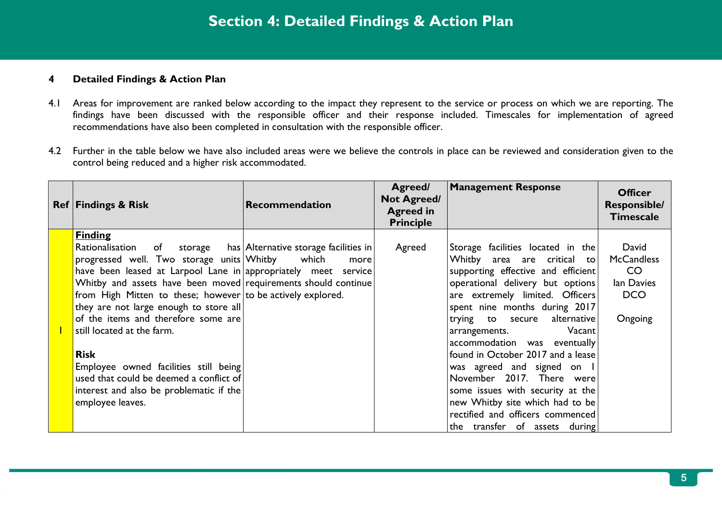### **4 Detailed Findings & Action Plan**

- 4.1 Areas for improvement are ranked below according to the impact they represent to the service or process on which we are reporting. The findings have been discussed with the responsible officer and their response included. Timescales for implementation of agreed recommendations have also been completed in consultation with the responsible officer.
- 4.2 Further in the table below we have also included areas were we believe the controls in place can be reviewed and consideration given to the control being reduced and a higher risk accommodated.

| <b>Ref   Findings &amp; Risk</b>                                                                                                                                                                                                                                                                                                                                                                                                                                                                                                                                         | Recommendation                                                 | Agreed/<br><b>Not Agreed/</b><br><b>Agreed in</b><br><b>Principle</b> | <b>Management Response</b>                                                                                                                                                                                                                                                                                                                                                                                                                                                                                                                                       | <b>Officer</b><br><b>Responsible/</b><br><b>Timescale</b>                            |
|--------------------------------------------------------------------------------------------------------------------------------------------------------------------------------------------------------------------------------------------------------------------------------------------------------------------------------------------------------------------------------------------------------------------------------------------------------------------------------------------------------------------------------------------------------------------------|----------------------------------------------------------------|-----------------------------------------------------------------------|------------------------------------------------------------------------------------------------------------------------------------------------------------------------------------------------------------------------------------------------------------------------------------------------------------------------------------------------------------------------------------------------------------------------------------------------------------------------------------------------------------------------------------------------------------------|--------------------------------------------------------------------------------------|
| <b>Finding</b><br>Rationalisation<br>of<br>progressed well. Two storage units Whitby<br>have been leased at Larpool Lane in appropriately meet service<br>Whitby and assets have been moved requirements should continue<br>from High Mitten to these; however to be actively explored.<br>they are not large enough to store all<br>of the items and therefore some are<br>still located at the farm.<br><b>Risk</b><br>Employee owned facilities still being<br>used that could be deemed a conflict of<br>interest and also be problematic if the<br>employee leaves. | storage has Alternative storage facilities in<br>which<br>more | Agreed                                                                | $ $ Storage facilities located in the $ $<br>Whitby area are critical to<br>supporting effective and efficient<br>operational delivery but options<br>are extremely limited. Officers<br>spent nine months during 2017<br>alternative<br>trying to secure<br>Vacant<br>arrangements.<br>accommodation was eventually<br>found in October 2017 and a lease<br>was agreed and signed on I<br>November 2017. There were<br>some issues with security at the<br>new Whitby site which had to be<br>rectified and officers commenced<br>the transfer of assets during | David<br><b>McCandless</b><br>CO <sub>.</sub><br>lan Davies<br><b>DCO</b><br>Ongoing |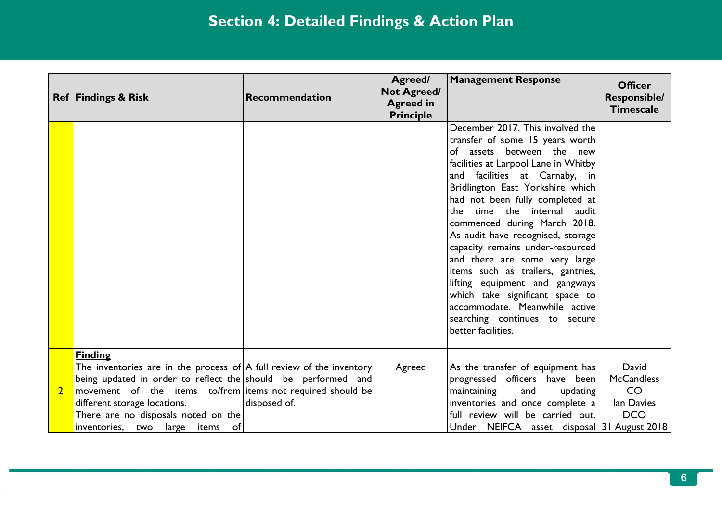|                         | <b>Ref   Findings &amp; Risk</b>                                                                                                                                                                                                                                                                                                           | Recommendation | Agreed/<br><b>Not Agreed/</b><br><b>Agreed in</b><br><b>Principle</b> | <b>Management Response</b>                                                                                                                                                                                                                                                                                                                                                                                                                                                                                                                                                                                                  | <b>Officer</b><br><b>Responsible/</b><br><b>Timescale</b>    |
|-------------------------|--------------------------------------------------------------------------------------------------------------------------------------------------------------------------------------------------------------------------------------------------------------------------------------------------------------------------------------------|----------------|-----------------------------------------------------------------------|-----------------------------------------------------------------------------------------------------------------------------------------------------------------------------------------------------------------------------------------------------------------------------------------------------------------------------------------------------------------------------------------------------------------------------------------------------------------------------------------------------------------------------------------------------------------------------------------------------------------------------|--------------------------------------------------------------|
|                         |                                                                                                                                                                                                                                                                                                                                            |                |                                                                       | December 2017. This involved the<br>transfer of some 15 years worth<br>of assets between the new<br>facilities at Larpool Lane in Whitby<br>and facilities at Carnaby, in<br>Bridlington East Yorkshire which<br>had not been fully completed at<br>the time the internal audit<br>commenced during March 2018.<br>As audit have recognised, storage<br>capacity remains under-resourced<br>and there are some very large<br>items such as trailers, gantries,<br>lifting equipment and gangways<br>which take significant space to<br>accommodate. Meanwhile active<br>searching continues to secure<br>better facilities. |                                                              |
| $\overline{\mathbf{2}}$ | <b>Finding</b><br>The inventories are in the process of $\mathsf{A}$ full review of the inventory<br>being updated in order to reflect the should be performed and<br>movement of the items to/from items not required should be<br>different storage locations.<br>There are no disposals noted on the<br>inventories, two large items of | disposed of.   | Agreed                                                                | As the transfer of equipment has<br>progressed officers have been<br>maintaining<br>and<br>updating<br>inventories and once complete a<br>full review will be carried out.<br>Under NEIFCA asset disposal 31 August 2018                                                                                                                                                                                                                                                                                                                                                                                                    | David<br><b>McCandless</b><br>CO<br>lan Davies<br><b>DCO</b> |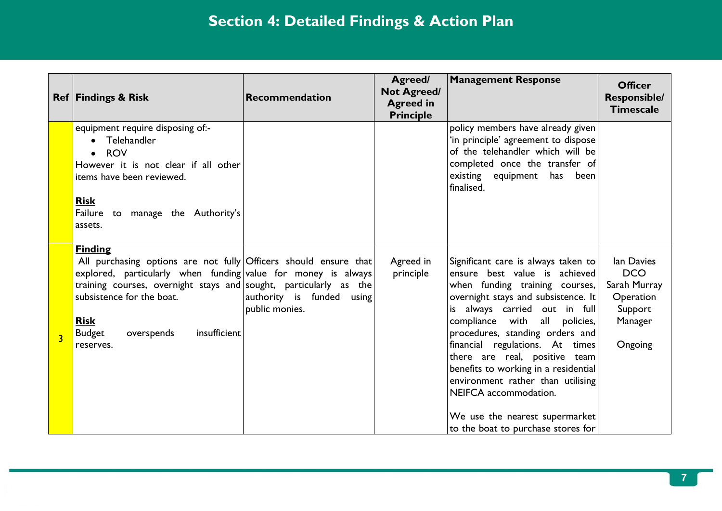|                         | <b>Ref Findings &amp; Risk</b>                                                                                                                                                                                                                                                                                                   | Recommendation                              | Agreed/<br><b>Not Agreed/</b><br><b>Agreed in</b><br><b>Principle</b> | <b>Management Response</b>                                                                                                                                                                                                                                                                                                                                                                                                                                                                           | <b>Officer</b><br><b>Responsible/</b><br><b>Timescale</b>                              |
|-------------------------|----------------------------------------------------------------------------------------------------------------------------------------------------------------------------------------------------------------------------------------------------------------------------------------------------------------------------------|---------------------------------------------|-----------------------------------------------------------------------|------------------------------------------------------------------------------------------------------------------------------------------------------------------------------------------------------------------------------------------------------------------------------------------------------------------------------------------------------------------------------------------------------------------------------------------------------------------------------------------------------|----------------------------------------------------------------------------------------|
|                         | equipment require disposing of:-<br>• Telehandler<br><b>ROV</b><br>$\bullet$<br>However it is not clear if all other<br>items have been reviewed.<br><b>Risk</b><br>Failure to manage the Authority's<br>assets.                                                                                                                 |                                             |                                                                       | policy members have already given<br>'in principle' agreement to dispose<br>of the telehandler which will be<br>completed once the transfer of<br>existing equipment has been<br>finalised.                                                                                                                                                                                                                                                                                                          |                                                                                        |
| $\overline{\mathbf{3}}$ | <b>Finding</b><br>All purchasing options are not fully Officers should ensure that<br>explored, particularly when funding value for money is always<br>training courses, overnight stays and sought, particularly as the<br>subsistence for the boat.<br><b>Risk</b><br>insufficient<br>overspends<br><b>Budget</b><br>reserves. | authority is funded using<br>public monies. | Agreed in<br>principle                                                | Significant care is always taken to<br>ensure best value is achieved<br>when funding training courses,<br>overnight stays and subsistence. It<br>is always carried out in full<br>compliance with all policies,<br>procedures, standing orders and<br>financial regulations. At times<br>there are real, positive team<br>benefits to working in a residential<br>environment rather than utilising<br>NEIFCA accommodation.<br>We use the nearest supermarket<br>to the boat to purchase stores for | lan Davies<br><b>DCO</b><br>Sarah Murray<br>Operation<br>Support<br>Manager<br>Ongoing |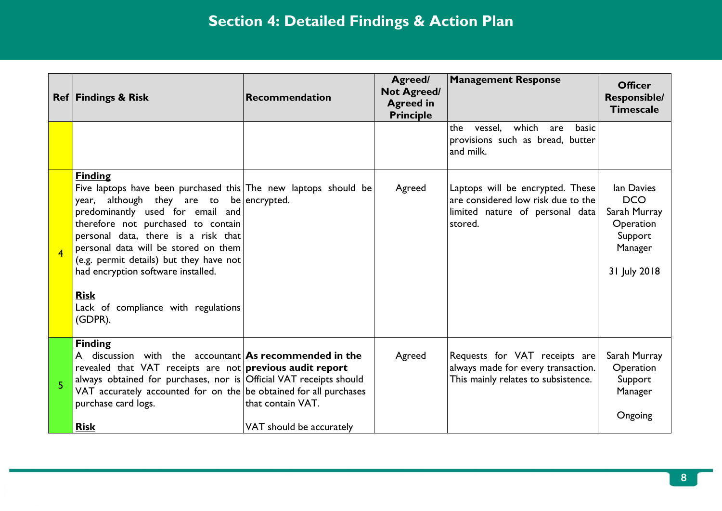|                | <b>Ref   Findings &amp; Risk</b>                                                                                                                                                                                                                                                                                                                                                                                              | Recommendation                                | Agreed/<br><b>Not Agreed/</b><br><b>Agreed in</b><br><b>Principle</b> | <b>Management Response</b>                                                                                           | <b>Officer</b><br><b>Responsible/</b><br><b>Timescale</b>                                   |
|----------------|-------------------------------------------------------------------------------------------------------------------------------------------------------------------------------------------------------------------------------------------------------------------------------------------------------------------------------------------------------------------------------------------------------------------------------|-----------------------------------------------|-----------------------------------------------------------------------|----------------------------------------------------------------------------------------------------------------------|---------------------------------------------------------------------------------------------|
|                |                                                                                                                                                                                                                                                                                                                                                                                                                               |                                               |                                                                       | which<br>the<br>vessel.<br>are<br>basic<br>provisions such as bread, butter<br>and milk.                             |                                                                                             |
| $\overline{4}$ | <b>Finding</b><br>Five laptops have been purchased this The new laptops should be<br>although they are to<br>year,<br>predominantly used for email and<br>therefore not purchased to contain<br>personal data, there is a risk that<br>personal data will be stored on them<br>(e.g. permit details) but they have not<br>had encryption software installed.<br><b>Risk</b><br>Lack of compliance with regulations<br>(GDPR). | be encrypted.                                 | Agreed                                                                | Laptops will be encrypted. These<br>are considered low risk due to the<br>limited nature of personal data<br>stored. | lan Davies<br><b>DCO</b><br>Sarah Murray<br>Operation<br>Support<br>Manager<br>31 July 2018 |
| 5              | <b>Finding</b><br>A discussion with the accountant $\text{As}$ recommended in the<br>revealed that VAT receipts are not previous audit report<br>always obtained for purchases, nor is Official VAT receipts should<br>VAT accurately accounted for on the be obtained for all purchases<br>purchase card logs.<br><b>Risk</b>                                                                                                | that contain VAT.<br>VAT should be accurately | Agreed                                                                | Requests for VAT receipts are<br>always made for every transaction.<br>This mainly relates to subsistence.           | Sarah Murray<br>Operation<br>Support<br>Manager<br>Ongoing                                  |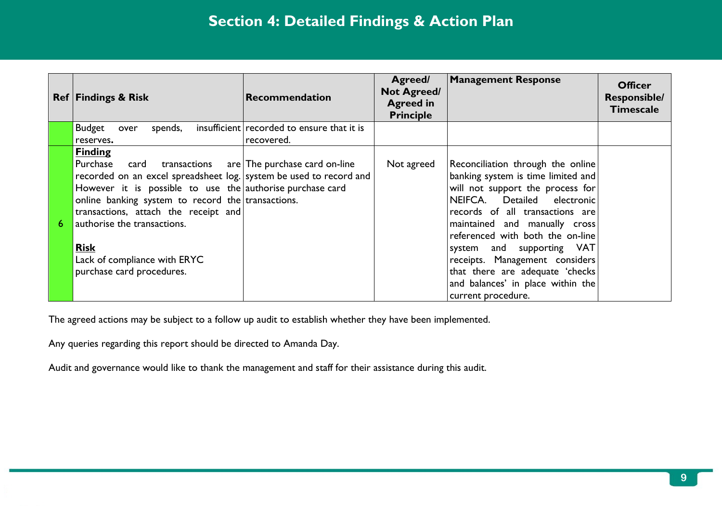| <b>Ref Findings &amp; Risk</b>                                                                                                                                                                                                                                                                                                                                                | Recommendation                                           | Agreed/<br><b>Not Agreed/</b><br><b>Agreed in</b><br><b>Principle</b> | <b>Management Response</b>                                                                                                                                                                                                                                                                                                                                                                                      | <b>Officer</b><br><b>Responsible/</b><br><b>Timescale</b> |
|-------------------------------------------------------------------------------------------------------------------------------------------------------------------------------------------------------------------------------------------------------------------------------------------------------------------------------------------------------------------------------|----------------------------------------------------------|-----------------------------------------------------------------------|-----------------------------------------------------------------------------------------------------------------------------------------------------------------------------------------------------------------------------------------------------------------------------------------------------------------------------------------------------------------------------------------------------------------|-----------------------------------------------------------|
| <b>Budget</b><br>spends,<br>over<br>reserves.                                                                                                                                                                                                                                                                                                                                 | insufficient recorded to ensure that it is<br>recovered. |                                                                       |                                                                                                                                                                                                                                                                                                                                                                                                                 |                                                           |
| <b>Finding</b><br>Purchase<br>card<br>recorded on an excel spreadsheet log. system be used to record and<br>However it is possible to use the authorise purchase card<br>online banking system to record the transactions.<br>transactions, attach the receipt and<br>authorise the transactions.<br><b>Risk</b><br>Lack of compliance with ERYC<br>purchase card procedures. | $transactions$ $are The purchase card on-line$           | Not agreed                                                            | Reconciliation through the online<br>banking system is time limited and<br>will not support the process for<br>NEIFCA. Detailed electronic<br>records of all transactions are<br>maintained and manually cross<br>referenced with both the on-line<br>system and supporting VAT<br>receipts. Management considers<br>that there are adequate 'checks<br>and balances' in place within the<br>current procedure. |                                                           |

The agreed actions may be subject to a follow up audit to establish whether they have been implemented.

Any queries regarding this report should be directed to Amanda Day.

Audit and governance would like to thank the management and staff for their assistance during this audit.